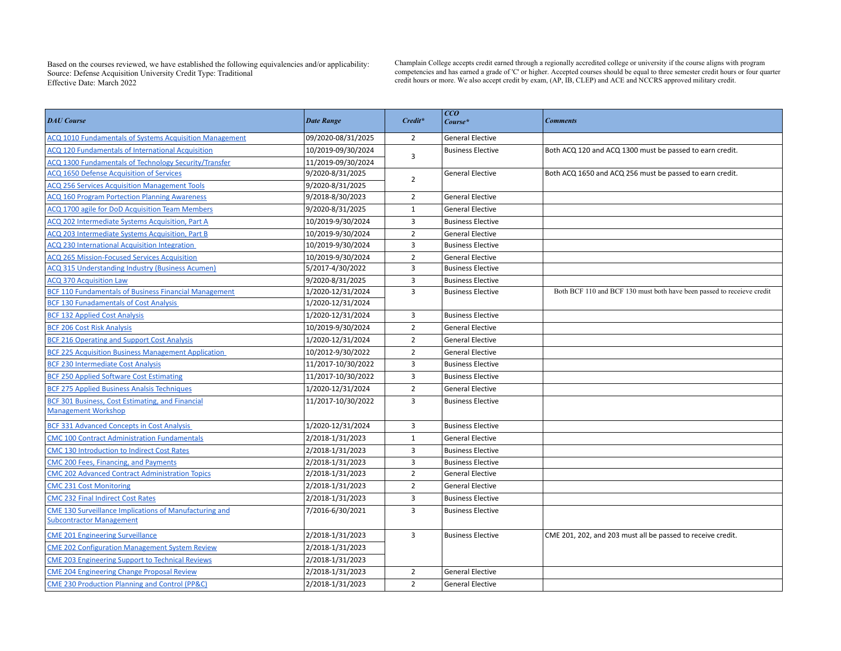Based on the courses reviewed, we have established the following equivalencies and/or applicability: Source: Defense Acquisition University Credit Type: Traditional Effective Date:

Champlain College accepts credit earned through a regionally accredited college or university if the course aligns with program competencies and has earned a grade of 'C' or higher. Accepted courses should be equal to three semester credit hours or four quarter March 2022 **credit hours or more. We also accept credit** by exam, (AP, IB, CLEP) and ACE and NCCRS approved military credit.

| <b>DAU</b> Course                                                                                | <b>Date Range</b>  | Credit*        | CCO <br>Course*          | <b>Comments</b>                                                        |
|--------------------------------------------------------------------------------------------------|--------------------|----------------|--------------------------|------------------------------------------------------------------------|
| ACQ 1010 Fundamentals of Systems Acquisition Management                                          | 09/2020-08/31/2025 | $\overline{2}$ | <b>General Elective</b>  |                                                                        |
| ACQ 120 Fundamentals of International Acquisition                                                | 10/2019-09/30/2024 |                | <b>Business Elective</b> | Both ACQ 120 and ACQ 1300 must be passed to earn credit.               |
| ACQ 1300 Fundamentals of Technology Security/Transfer                                            | 11/2019-09/30/2024 | 3              |                          |                                                                        |
| <b>ACQ 1650 Defense Acquisition of Services</b>                                                  | 9/2020-8/31/2025   | $\overline{2}$ | <b>General Elective</b>  | Both ACQ 1650 and ACQ 256 must be passed to earn credit.               |
| <b>ACQ 256 Services Acquisition Management Tools</b>                                             | 9/2020-8/31/2025   |                |                          |                                                                        |
| <b>ACQ 160 Program Portection Planning Awareness</b>                                             | 9/2018-8/30/2023   | $\overline{2}$ | <b>General Elective</b>  |                                                                        |
| <b>ACQ 1700 agile for DoD Acquisition Team Members</b>                                           | 9/2020-8/31/2025   | $\mathbf{1}$   | <b>General Elective</b>  |                                                                        |
| ACQ 202 Intermediate Systems Acquisition, Part A                                                 | 10/2019-9/30/2024  | 3              | <b>Business Elective</b> |                                                                        |
| ACQ 203 Intermediate Systems Acquisition, Part B                                                 | 10/2019-9/30/2024  | $\overline{2}$ | <b>General Elective</b>  |                                                                        |
| ACQ 230 International Acquisition Integration                                                    | 10/2019-9/30/2024  | 3              | <b>Business Elective</b> |                                                                        |
| <b>ACQ 265 Mission-Focused Services Acquisition</b>                                              | 10/2019-9/30/2024  | $\overline{2}$ | <b>General Elective</b>  |                                                                        |
| <b>ACQ 315 Understanding Industry (Business Acumen)</b>                                          | 5/2017-4/30/2022   | 3              | <b>Business Elective</b> |                                                                        |
| <b>ACQ 370 Acquisition Law</b>                                                                   | 9/2020-8/31/2025   | 3              | <b>Business Elective</b> |                                                                        |
| <b>BCF 110 Fundamentals of Business Financial Management</b>                                     | 1/2020-12/31/2024  | 3              | <b>Business Elective</b> | Both BCF 110 and BCF 130 must both have been passed to receieve credit |
| <b>BCF 130 Funadamentals of Cost Analysis</b>                                                    | 1/2020-12/31/2024  |                |                          |                                                                        |
| <b>BCF 132 Applied Cost Analysis</b>                                                             | 1/2020-12/31/2024  | 3              | <b>Business Elective</b> |                                                                        |
| <b>BCF 206 Cost Risk Analysis</b>                                                                | 10/2019-9/30/2024  | $\overline{2}$ | <b>General Elective</b>  |                                                                        |
| <b>BCF 216 Operating and Support Cost Analysis</b>                                               | 1/2020-12/31/2024  | $\overline{2}$ | <b>General Elective</b>  |                                                                        |
| <b>BCF 225 Acquisition Business Management Application</b>                                       | 10/2012-9/30/2022  | $\overline{2}$ | <b>General Elective</b>  |                                                                        |
| <b>BCF 230 Intermediate Cost Analysis</b>                                                        | 11/2017-10/30/2022 | 3              | <b>Business Elective</b> |                                                                        |
| <b>BCF 250 Applied Software Cost Estimating</b>                                                  | 11/2017-10/30/2022 | 3              | <b>Business Elective</b> |                                                                        |
| <b>BCF 275 Applied Business Analsis Techniques</b>                                               | 1/2020-12/31/2024  | $\overline{2}$ | <b>General Elective</b>  |                                                                        |
| <b>BCF 301 Business, Cost Estimating, and Financial</b><br><b>Management Workshop</b>            | 11/2017-10/30/2022 | $\overline{3}$ | <b>Business Elective</b> |                                                                        |
| <b>BCF 331 Advanced Concepts in Cost Analysis</b>                                                | 1/2020-12/31/2024  | 3              | <b>Business Elective</b> |                                                                        |
| <b>CMC 100 Contract Administration Fundamentals</b>                                              | 2/2018-1/31/2023   | $\mathbf{1}$   | <b>General Elective</b>  |                                                                        |
| <b>CMC 130 Introduction to Indirect Cost Rates</b>                                               | 2/2018-1/31/2023   | 3              | <b>Business Elective</b> |                                                                        |
| CMC 200 Fees, Financing, and Payments                                                            | 2/2018-1/31/2023   | 3              | <b>Business Elective</b> |                                                                        |
| <b>CMC 202 Advanced Contract Administration Topics</b>                                           | 2/2018-1/31/2023   | $\overline{2}$ | <b>General Elective</b>  |                                                                        |
| <b>CMC 231 Cost Monitoring</b>                                                                   | 2/2018-1/31/2023   | $\overline{2}$ | <b>General Elective</b>  |                                                                        |
| <b>CMC 232 Final Indirect Cost Rates</b>                                                         | 2/2018-1/31/2023   | $\overline{3}$ | <b>Business Elective</b> |                                                                        |
| <b>CME 130 Surveillance Implications of Manufacturing and</b><br><b>Subcontractor Management</b> | 7/2016-6/30/2021   | 3              | <b>Business Elective</b> |                                                                        |
| <b>CME 201 Engineering Surveillance</b>                                                          | 2/2018-1/31/2023   | $\overline{3}$ | <b>Business Elective</b> | CME 201, 202, and 203 must all be passed to receive credit.            |
| <b>CME 202 Configuration Management System Review</b>                                            | 2/2018-1/31/2023   |                |                          |                                                                        |
| <b>CME 203 Engineering Support to Technical Reviews</b>                                          | 2/2018-1/31/2023   |                |                          |                                                                        |
| <b>CME 204 Engineering Change Proposal Review</b>                                                | 2/2018-1/31/2023   | $\overline{2}$ | <b>General Elective</b>  |                                                                        |
| <b>CME 230 Production Planning and Control (PP&amp;C)</b>                                        | 2/2018-1/31/2023   | $\overline{2}$ | <b>General Elective</b>  |                                                                        |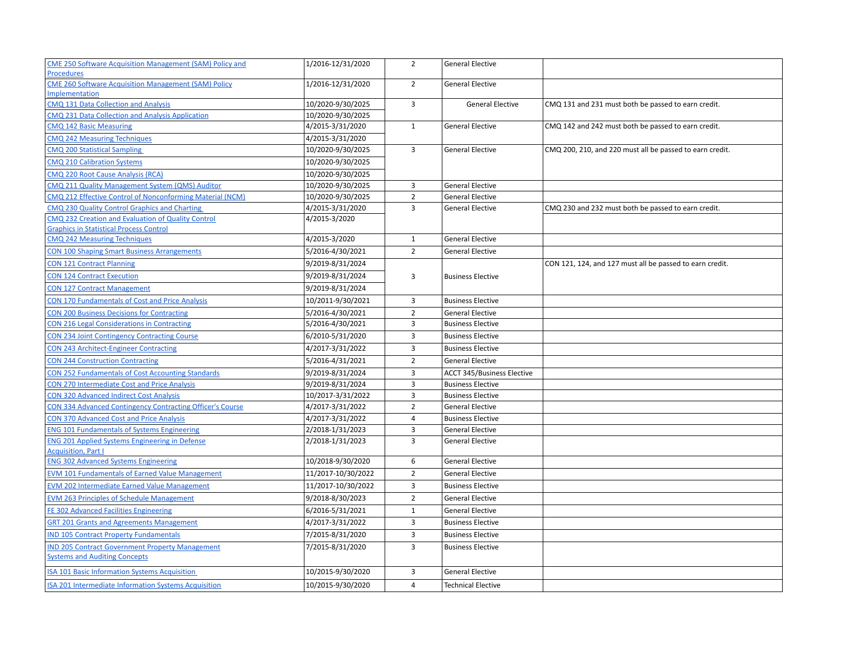| <b>CME 250 Software Acquisition Management (SAM) Policy and</b> | 1/2016-12/31/2020  | $\overline{2}$ | <b>General Elective</b>           |                                                          |
|-----------------------------------------------------------------|--------------------|----------------|-----------------------------------|----------------------------------------------------------|
| <b>Procedures</b>                                               |                    |                |                                   |                                                          |
| <b>CME 260 Software Acquisition Management (SAM) Policy</b>     | 1/2016-12/31/2020  | $\overline{2}$ | <b>General Elective</b>           |                                                          |
| <b>Implementation</b>                                           |                    |                |                                   |                                                          |
| CMQ 131 Data Collection and Analysis                            | 10/2020-9/30/2025  | 3              | <b>General Elective</b>           | CMQ 131 and 231 must both be passed to earn credit.      |
| CMQ 231 Data Collection and Analysis Application                | 10/2020-9/30/2025  |                |                                   |                                                          |
| <b>CMQ 142 Basic Measuring</b>                                  | 4/2015-3/31/2020   | $\mathbf{1}$   | <b>General Elective</b>           | CMQ 142 and 242 must both be passed to earn credit.      |
| <b>CMQ 242 Measuring Techniques</b>                             | 4/2015-3/31/2020   |                |                                   |                                                          |
| <b>CMQ 200 Statistical Sampling</b>                             | 10/2020-9/30/2025  | 3              | <b>General Elective</b>           | CMQ 200, 210, and 220 must all be passed to earn credit. |
| <b>CMQ 210 Calibration Systems</b>                              | 10/2020-9/30/2025  |                |                                   |                                                          |
| CMQ 220 Root Cause Analysis (RCA)                               | 10/2020-9/30/2025  |                |                                   |                                                          |
| CMQ 211 Quality Management System (QMS) Auditor                 | 10/2020-9/30/2025  | 3              | <b>General Elective</b>           |                                                          |
| CMQ 212 Effective Control of Nonconforming Material (NCM)       | 10/2020-9/30/2025  | $\overline{2}$ | <b>General Elective</b>           |                                                          |
| CMQ 230 Quality Control Graphics and Charting                   | 4/2015-3/31/2020   | 3              | <b>General Elective</b>           | CMQ 230 and 232 must both be passed to earn credit.      |
| CMQ 232 Creation and Evaluation of Quality Control              | 4/2015-3/2020      |                |                                   |                                                          |
| <b>Graphics in Statistical Process Control</b>                  |                    |                |                                   |                                                          |
| <b>CMQ 242 Measuring Techniques</b>                             | 4/2015-3/2020      | $\mathbf{1}$   | <b>General Elective</b>           |                                                          |
| <b>CON 100 Shaping Smart Business Arrangements</b>              | 5/2016-4/30/2021   | $\overline{2}$ | <b>General Elective</b>           |                                                          |
| <b>CON 121 Contract Planning</b>                                | 9/2019-8/31/2024   |                |                                   | CON 121, 124, and 127 must all be passed to earn credit. |
| <b>CON 124 Contract Execution</b>                               | 9/2019-8/31/2024   | 3              | <b>Business Elective</b>          |                                                          |
| <b>CON 127 Contract Management</b>                              | 9/2019-8/31/2024   |                |                                   |                                                          |
| <b>CON 170 Fundamentals of Cost and Price Analysis</b>          | 10/2011-9/30/2021  | 3              | <b>Business Elective</b>          |                                                          |
| <b>CON 200 Business Decisions for Contracting</b>               | 5/2016-4/30/2021   | $\overline{2}$ | <b>General Elective</b>           |                                                          |
| <b>CON 216 Legal Considerations in Contracting</b>              | 5/2016-4/30/2021   | 3              | <b>Business Elective</b>          |                                                          |
| <b>CON 234 Joint Contingency Contracting Course</b>             | 6/2010-5/31/2020   | $\overline{3}$ | <b>Business Elective</b>          |                                                          |
| <b>CON 243 Architect-Engineer Contracting</b>                   | 4/2017-3/31/2022   | 3              | <b>Business Elective</b>          |                                                          |
| <b>CON 244 Construction Contracting</b>                         | 5/2016-4/31/2021   | $\overline{2}$ | <b>General Elective</b>           |                                                          |
| <b>CON 252 Fundamentals of Cost Accounting Standards</b>        | 9/2019-8/31/2024   | $\overline{3}$ | <b>ACCT 345/Business Elective</b> |                                                          |
| <b>CON 270 Intermediate Cost and Price Analysis</b>             | 9/2019-8/31/2024   | $\overline{3}$ | <b>Business Elective</b>          |                                                          |
| <b>CON 320 Advanced Indirect Cost Analysis</b>                  | 10/2017-3/31/2022  | 3              | <b>Business Elective</b>          |                                                          |
| CON 334 Advanced Contingency Contracting Officer's Course       | 4/2017-3/31/2022   | $\overline{2}$ | <b>General Elective</b>           |                                                          |
| <b>CON 370 Advanced Cost and Price Analysis</b>                 | 4/2017-3/31/2022   | $\overline{4}$ | <b>Business Elective</b>          |                                                          |
| <b>ENG 101 Fundamentals of Systems Engineering</b>              | 2/2018-1/31/2023   | 3              | <b>General Elective</b>           |                                                          |
| <b>ENG 201 Applied Systems Engineering in Defense</b>           | 2/2018-1/31/2023   | 3              | <b>General Elective</b>           |                                                          |
| <b>Acquisition, Part I</b>                                      |                    |                |                                   |                                                          |
| <b>ENG 302 Advanced Systems Engineering</b>                     | 10/2018-9/30/2020  | 6              | <b>General Elective</b>           |                                                          |
| <b>EVM 101 Fundamentals of Earned Value Management</b>          | 11/2017-10/30/2022 | $\overline{2}$ | <b>General Elective</b>           |                                                          |
| <b>EVM 202 Intermediate Earned Value Management</b>             | 11/2017-10/30/2022 | 3              | <b>Business Elective</b>          |                                                          |
| <b>EVM 263 Principles of Schedule Management</b>                | 9/2018-8/30/2023   | $\overline{2}$ | <b>General Elective</b>           |                                                          |
| FE 302 Advanced Facilities Engineering                          | 6/2016-5/31/2021   | $\mathbf{1}$   | <b>General Elective</b>           |                                                          |
| <b>GRT 201 Grants and Agreements Management</b>                 | 4/2017-3/31/2022   | $\overline{3}$ | <b>Business Elective</b>          |                                                          |
| <b>IND 105 Contract Property Fundamentals</b>                   | 7/2015-8/31/2020   | $\overline{3}$ | <b>Business Elective</b>          |                                                          |
| <b>IND 205 Contract Government Property Management</b>          | 7/2015-8/31/2020   | $\overline{3}$ | <b>Business Elective</b>          |                                                          |
| <b>Systems and Auditing Concepts</b>                            |                    |                |                                   |                                                          |
| ISA 101 Basic Information Systems Acquisition                   | 10/2015-9/30/2020  | $\overline{3}$ | <b>General Elective</b>           |                                                          |
| <b>ISA 201 Intermediate Information Systems Acquisition</b>     | 10/2015-9/30/2020  | $\overline{4}$ | <b>Technical Elective</b>         |                                                          |